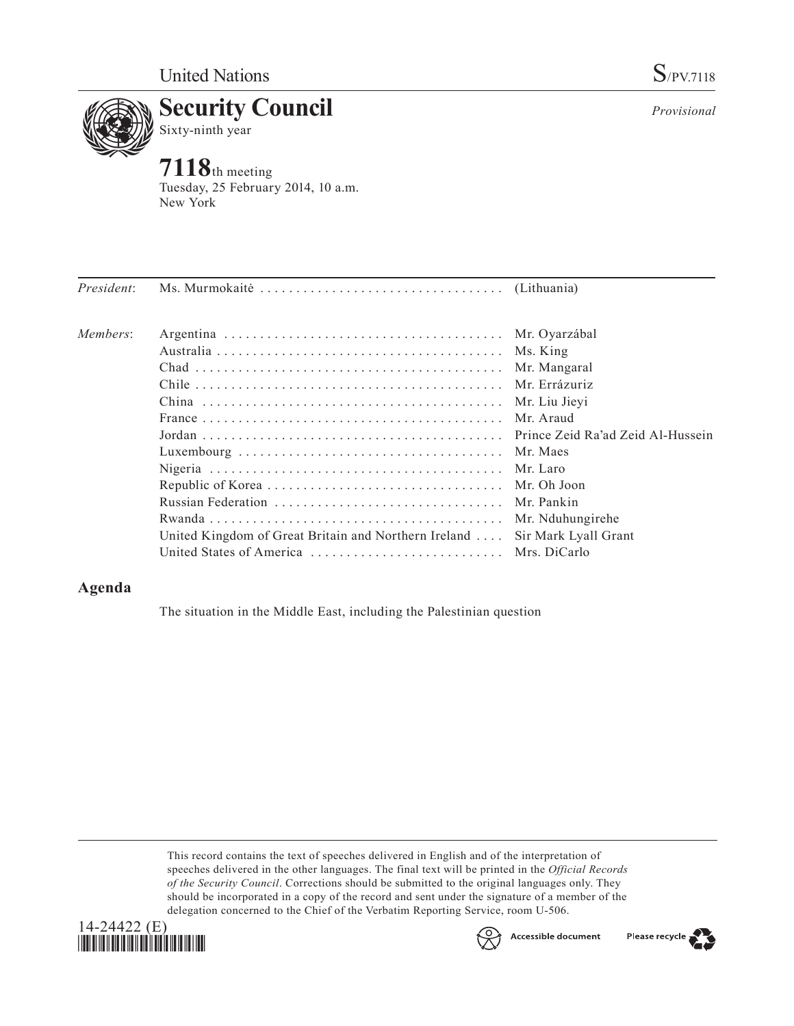*Provisional*



**7118**th meeting Tuesday, 25 February 2014, 10 a.m. New York

| President: |                                                                            |                  |
|------------|----------------------------------------------------------------------------|------------------|
| Members:   |                                                                            |                  |
|            |                                                                            | Ms. King         |
|            |                                                                            | Mr. Mangaral     |
|            |                                                                            | Mr. Errázuriz    |
|            |                                                                            | Mr. Liu Jieyi    |
|            |                                                                            |                  |
|            |                                                                            |                  |
|            |                                                                            |                  |
|            |                                                                            |                  |
|            |                                                                            |                  |
|            | Russian Federation  Mr. Pankin                                             |                  |
|            |                                                                            | Mr. Nduhungirehe |
|            | United Kingdom of Great Britain and Northern Ireland  Sir Mark Lyall Grant |                  |
|            |                                                                            |                  |

## **Agenda**

The situation in the Middle East, including the Palestinian question

This record contains the text of speeches delivered in English and of the interpretation of speeches delivered in the other languages. The final text will be printed in the *Official Records of the Security Council*. Corrections should be submitted to the original languages only. They should be incorporated in a copy of the record and sent under the signature of a member of the delegation concerned to the Chief of the Verbatim Reporting Service, room U-506.





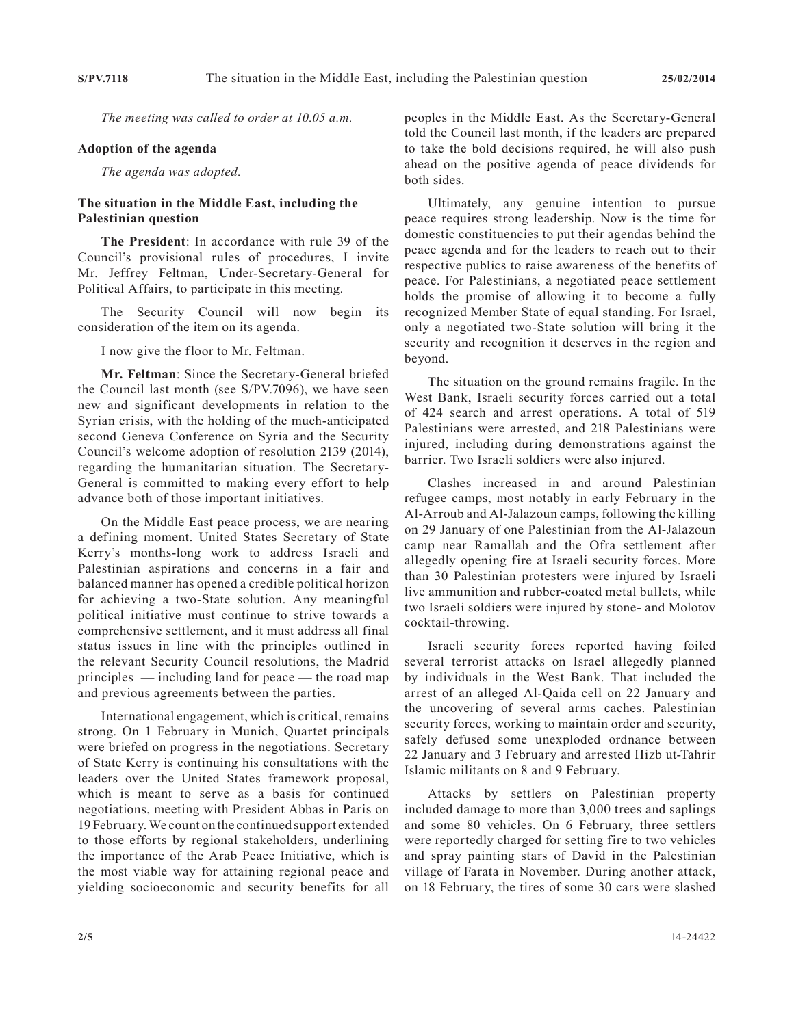*The meeting was called to order at 10.05 a.m.*

## **Adoption of the agenda**

*The agenda was adopted.*

## **The situation in the Middle East, including the Palestinian question**

**The President**: In accordance with rule 39 of the Council's provisional rules of procedures, I invite Mr. Jeffrey Feltman, Under-Secretary-General for Political Affairs, to participate in this meeting.

The Security Council will now begin its consideration of the item on its agenda.

I now give the floor to Mr. Feltman.

**Mr. Feltman**: Since the Secretary-General briefed the Council last month (see S/PV.7096), we have seen new and significant developments in relation to the Syrian crisis, with the holding of the much-anticipated second Geneva Conference on Syria and the Security Council's welcome adoption of resolution 2139 (2014), regarding the humanitarian situation. The Secretary-General is committed to making every effort to help advance both of those important initiatives.

On the Middle East peace process, we are nearing a defining moment. United States Secretary of State Kerry's months-long work to address Israeli and Palestinian aspirations and concerns in a fair and balanced manner has opened a credible political horizon for achieving a two-State solution. Any meaningful political initiative must continue to strive towards a comprehensive settlement, and it must address all final status issues in line with the principles outlined in the relevant Security Council resolutions, the Madrid principles — including land for peace — the road map and previous agreements between the parties.

International engagement, which is critical, remains strong. On 1 February in Munich, Quartet principals were briefed on progress in the negotiations. Secretary of State Kerry is continuing his consultations with the leaders over the United States framework proposal, which is meant to serve as a basis for continued negotiations, meeting with President Abbas in Paris on 19 February. We count on the continued support extended to those efforts by regional stakeholders, underlining the importance of the Arab Peace Initiative, which is the most viable way for attaining regional peace and yielding socioeconomic and security benefits for all

peoples in the Middle East. As the Secretary-General told the Council last month, if the leaders are prepared to take the bold decisions required, he will also push ahead on the positive agenda of peace dividends for both sides.

Ultimately, any genuine intention to pursue peace requires strong leadership. Now is the time for domestic constituencies to put their agendas behind the peace agenda and for the leaders to reach out to their respective publics to raise awareness of the benefits of peace. For Palestinians, a negotiated peace settlement holds the promise of allowing it to become a fully recognized Member State of equal standing. For Israel, only a negotiated two-State solution will bring it the security and recognition it deserves in the region and beyond.

The situation on the ground remains fragile. In the West Bank, Israeli security forces carried out a total of 424 search and arrest operations. A total of 519 Palestinians were arrested, and 218 Palestinians were injured, including during demonstrations against the barrier. Two Israeli soldiers were also injured.

Clashes increased in and around Palestinian refugee camps, most notably in early February in the Al-Arroub and Al-Jalazoun camps, following the killing on 29 January of one Palestinian from the Al-Jalazoun camp near Ramallah and the Ofra settlement after allegedly opening fire at Israeli security forces. More than 30 Palestinian protesters were injured by Israeli live ammunition and rubber-coated metal bullets, while two Israeli soldiers were injured by stone- and Molotov cocktail-throwing.

Israeli security forces reported having foiled several terrorist attacks on Israel allegedly planned by individuals in the West Bank. That included the arrest of an alleged Al-Qaida cell on 22 January and the uncovering of several arms caches. Palestinian security forces, working to maintain order and security, safely defused some unexploded ordnance between 22 January and 3 February and arrested Hizb ut-Tahrir Islamic militants on 8 and 9 February.

Attacks by settlers on Palestinian property included damage to more than 3,000 trees and saplings and some 80 vehicles. On 6 February, three settlers were reportedly charged for setting fire to two vehicles and spray painting stars of David in the Palestinian village of Farata in November. During another attack, on 18 February, the tires of some 30 cars were slashed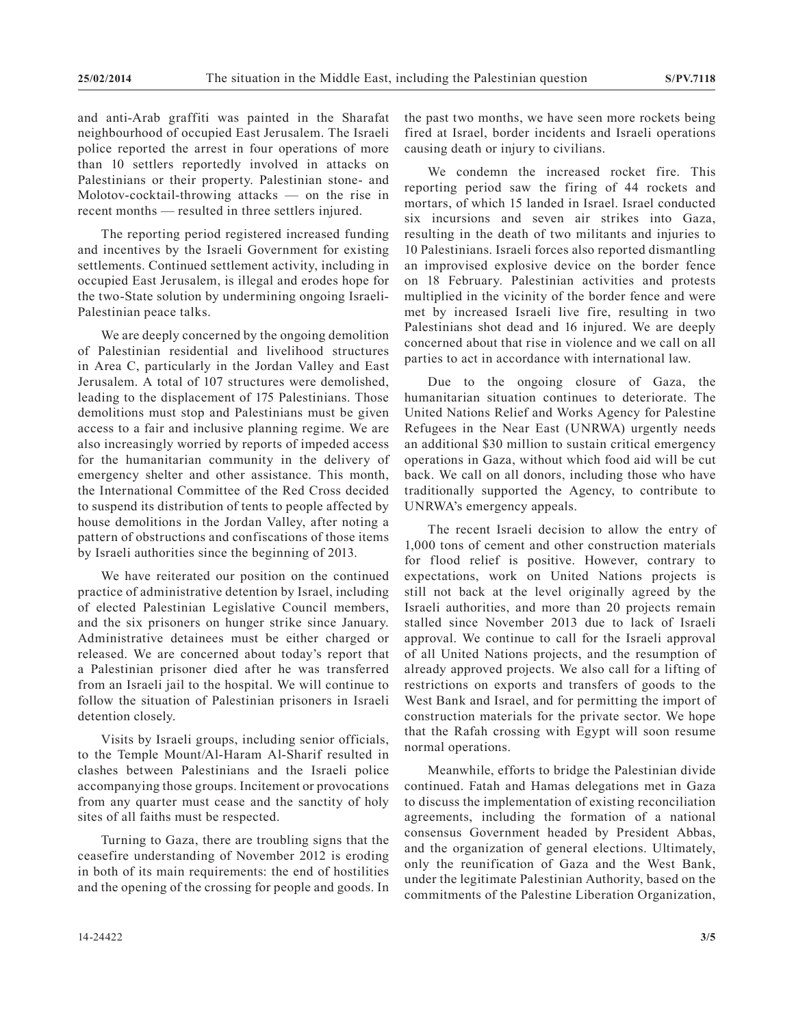and anti-Arab graffiti was painted in the Sharafat neighbourhood of occupied East Jerusalem. The Israeli police reported the arrest in four operations of more than 10 settlers reportedly involved in attacks on Palestinians or their property. Palestinian stone- and Molotov-cocktail-throwing attacks — on the rise in recent months — resulted in three settlers injured.

The reporting period registered increased funding and incentives by the Israeli Government for existing settlements. Continued settlement activity, including in occupied East Jerusalem, is illegal and erodes hope for the two-State solution by undermining ongoing Israeli-Palestinian peace talks.

We are deeply concerned by the ongoing demolition of Palestinian residential and livelihood structures in Area C, particularly in the Jordan Valley and East Jerusalem. A total of 107 structures were demolished, leading to the displacement of 175 Palestinians. Those demolitions must stop and Palestinians must be given access to a fair and inclusive planning regime. We are also increasingly worried by reports of impeded access for the humanitarian community in the delivery of emergency shelter and other assistance. This month, the International Committee of the Red Cross decided to suspend its distribution of tents to people affected by house demolitions in the Jordan Valley, after noting a pattern of obstructions and confiscations of those items by Israeli authorities since the beginning of 2013.

We have reiterated our position on the continued practice of administrative detention by Israel, including of elected Palestinian Legislative Council members, and the six prisoners on hunger strike since January. Administrative detainees must be either charged or released. We are concerned about today's report that a Palestinian prisoner died after he was transferred from an Israeli jail to the hospital. We will continue to follow the situation of Palestinian prisoners in Israeli detention closely.

Visits by Israeli groups, including senior officials, to the Temple Mount/Al-Haram Al-Sharif resulted in clashes between Palestinians and the Israeli police accompanying those groups. Incitement or provocations from any quarter must cease and the sanctity of holy sites of all faiths must be respected.

Turning to Gaza, there are troubling signs that the ceasefire understanding of November 2012 is eroding in both of its main requirements: the end of hostilities and the opening of the crossing for people and goods. In the past two months, we have seen more rockets being fired at Israel, border incidents and Israeli operations causing death or injury to civilians.

We condemn the increased rocket fire. This reporting period saw the firing of 44 rockets and mortars, of which 15 landed in Israel. Israel conducted six incursions and seven air strikes into Gaza, resulting in the death of two militants and injuries to 10 Palestinians. Israeli forces also reported dismantling an improvised explosive device on the border fence on 18 February. Palestinian activities and protests multiplied in the vicinity of the border fence and were met by increased Israeli live fire, resulting in two Palestinians shot dead and 16 injured. We are deeply concerned about that rise in violence and we call on all parties to act in accordance with international law.

Due to the ongoing closure of Gaza, the humanitarian situation continues to deteriorate. The United Nations Relief and Works Agency for Palestine Refugees in the Near East (UNRWA) urgently needs an additional \$30 million to sustain critical emergency operations in Gaza, without which food aid will be cut back. We call on all donors, including those who have traditionally supported the Agency, to contribute to UNRWA's emergency appeals.

The recent Israeli decision to allow the entry of 1,000 tons of cement and other construction materials for flood relief is positive. However, contrary to expectations, work on United Nations projects is still not back at the level originally agreed by the Israeli authorities, and more than 20 projects remain stalled since November 2013 due to lack of Israeli approval. We continue to call for the Israeli approval of all United Nations projects, and the resumption of already approved projects. We also call for a lifting of restrictions on exports and transfers of goods to the West Bank and Israel, and for permitting the import of construction materials for the private sector. We hope that the Rafah crossing with Egypt will soon resume normal operations.

Meanwhile, efforts to bridge the Palestinian divide continued. Fatah and Hamas delegations met in Gaza to discuss the implementation of existing reconciliation agreements, including the formation of a national consensus Government headed by President Abbas, and the organization of general elections. Ultimately, only the reunification of Gaza and the West Bank, under the legitimate Palestinian Authority, based on the commitments of the Palestine Liberation Organization,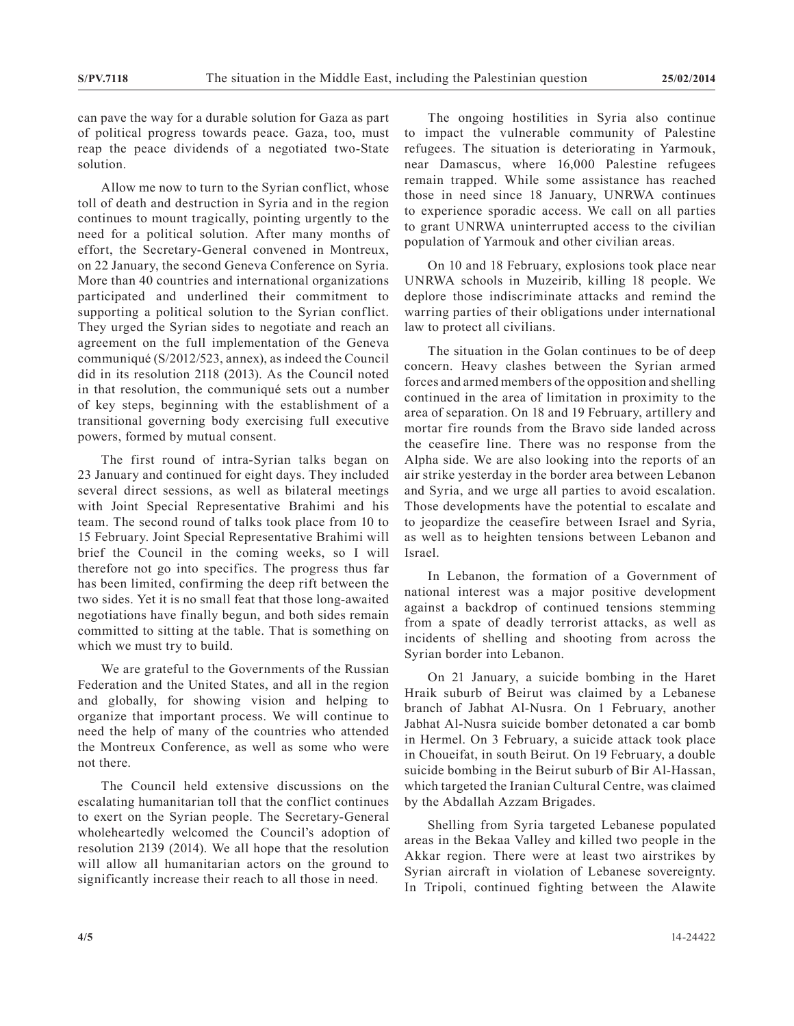can pave the way for a durable solution for Gaza as part of political progress towards peace. Gaza, too, must reap the peace dividends of a negotiated two-State solution.

Allow me now to turn to the Syrian conflict, whose toll of death and destruction in Syria and in the region continues to mount tragically, pointing urgently to the need for a political solution. After many months of effort, the Secretary-General convened in Montreux, on 22 January, the second Geneva Conference on Syria. More than 40 countries and international organizations participated and underlined their commitment to supporting a political solution to the Syrian conflict. They urged the Syrian sides to negotiate and reach an agreement on the full implementation of the Geneva communiqué (S/2012/523, annex), as indeed the Council did in its resolution 2118 (2013). As the Council noted in that resolution, the communiqué sets out a number of key steps, beginning with the establishment of a transitional governing body exercising full executive powers, formed by mutual consent.

The first round of intra-Syrian talks began on 23 January and continued for eight days. They included several direct sessions, as well as bilateral meetings with Joint Special Representative Brahimi and his team. The second round of talks took place from 10 to 15 February. Joint Special Representative Brahimi will brief the Council in the coming weeks, so I will therefore not go into specifics. The progress thus far has been limited, confirming the deep rift between the two sides. Yet it is no small feat that those long-awaited negotiations have finally begun, and both sides remain committed to sitting at the table. That is something on which we must try to build.

We are grateful to the Governments of the Russian Federation and the United States, and all in the region and globally, for showing vision and helping to organize that important process. We will continue to need the help of many of the countries who attended the Montreux Conference, as well as some who were not there.

The Council held extensive discussions on the escalating humanitarian toll that the conflict continues to exert on the Syrian people. The Secretary-General wholeheartedly welcomed the Council's adoption of resolution 2139 (2014). We all hope that the resolution will allow all humanitarian actors on the ground to significantly increase their reach to all those in need.

The ongoing hostilities in Syria also continue to impact the vulnerable community of Palestine refugees. The situation is deteriorating in Yarmouk, near Damascus, where 16,000 Palestine refugees remain trapped. While some assistance has reached those in need since 18 January, UNRWA continues to experience sporadic access. We call on all parties to grant UNRWA uninterrupted access to the civilian population of Yarmouk and other civilian areas.

On 10 and 18 February, explosions took place near UNRWA schools in Muzeirib, killing 18 people. We deplore those indiscriminate attacks and remind the warring parties of their obligations under international law to protect all civilians.

The situation in the Golan continues to be of deep concern. Heavy clashes between the Syrian armed forces and armed members of the opposition and shelling continued in the area of limitation in proximity to the area of separation. On 18 and 19 February, artillery and mortar fire rounds from the Bravo side landed across the ceasefire line. There was no response from the Alpha side. We are also looking into the reports of an air strike yesterday in the border area between Lebanon and Syria, and we urge all parties to avoid escalation. Those developments have the potential to escalate and to jeopardize the ceasefire between Israel and Syria, as well as to heighten tensions between Lebanon and Israel.

In Lebanon, the formation of a Government of national interest was a major positive development against a backdrop of continued tensions stemming from a spate of deadly terrorist attacks, as well as incidents of shelling and shooting from across the Syrian border into Lebanon.

On 21 January, a suicide bombing in the Haret Hraik suburb of Beirut was claimed by a Lebanese branch of Jabhat Al-Nusra. On 1 February, another Jabhat Al-Nusra suicide bomber detonated a car bomb in Hermel. On 3 February, a suicide attack took place in Choueifat, in south Beirut. On 19 February, a double suicide bombing in the Beirut suburb of Bir Al-Hassan, which targeted the Iranian Cultural Centre, was claimed by the Abdallah Azzam Brigades.

Shelling from Syria targeted Lebanese populated areas in the Bekaa Valley and killed two people in the Akkar region. There were at least two airstrikes by Syrian aircraft in violation of Lebanese sovereignty. In Tripoli, continued fighting between the Alawite